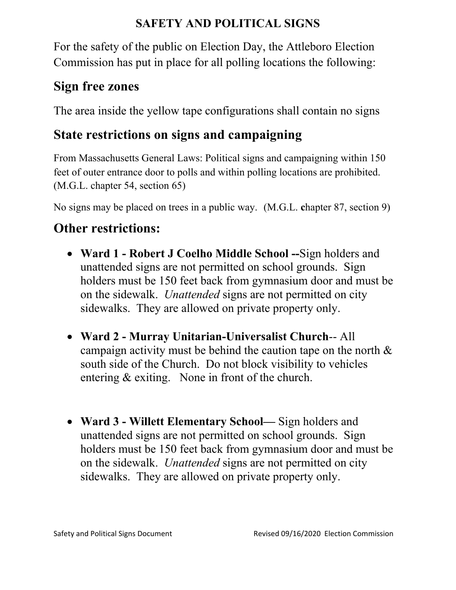### **SAFETY AND POLITICAL SIGNS**

For the safety of the public on Election Day, the Attleboro Election Commission has put in place for all polling locations the following:

### **Sign free zones**

The area inside the yellow tape configurations shall contain no signs

# **State restrictions on signs and campaigning**

From Massachusetts General Laws: Political signs and campaigning within 150 feet of outer entrance door to polls and within polling locations are prohibited. (M.G.L. chapter 54, section 65)

No signs may be placed on trees in a public way.(M.G.L. **c**hapter 87, section 9)

# **Other restrictions:**

- **Ward 1 Robert J Coelho Middle School --**Sign holders and unattended signs are not permitted on school grounds. Sign holders must be 150 feet back from gymnasium door and must be on the sidewalk. *Unattended* signs are not permitted on city sidewalks. They are allowed on private property only.
- **Ward 2 Murray Unitarian-Universalist Church**-- All campaign activity must be behind the caution tape on the north & south side of the Church. Do not block visibility to vehicles entering & exiting. None in front of the church.
- **Ward 3 Willett Elementary School—** Sign holders and unattended signs are not permitted on school grounds. Sign holders must be 150 feet back from gymnasium door and must be on the sidewalk. *Unattended* signs are not permitted on city sidewalks. They are allowed on private property only.